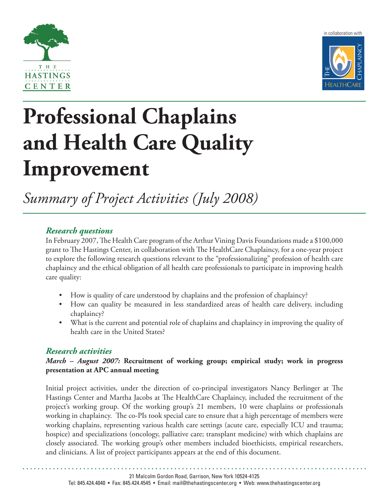



# **Professional Chaplains and Health Care Quality Improvement**

*Summary of Project Activities (July 2008)*

## *Research questions*

In February 2007, The Health Care program of the Arthur Vining Davis Foundations made a \$100,000 grant to The Hastings Center, in collaboration with The HealthCare Chaplaincy, for a one-year project to explore the following research questions relevant to the "professionalizing" profession of health care chaplaincy and the ethical obligation of all health care professionals to participate in improving health care quality:

- How is quality of care understood by chaplains and the profession of chaplaincy?
- How can quality be measured in less standardized areas of health care delivery, including chaplaincy?
- What is the current and potential role of chaplains and chaplaincy in improving the quality of health care in the United States?

## *Research activities*

### *March – August 2007:* **Recruitment of working group; empirical study; work in progress presentation at APC annual meeting**

Initial project activities, under the direction of co-principal investigators Nancy Berlinger at The Hastings Center and Martha Jacobs at The HealthCare Chaplaincy, included the recruitment of the project's working group. Of the working group's 21 members, 10 were chaplains or professionals working in chaplaincy. The co-PIs took special care to ensure that a high percentage of members were working chaplains, representing various health care settings (acute care, especially ICU and trauma; hospice) and specializations (oncology, palliative care; transplant medicine) with which chaplains are closely associated. The working group's other members included bioethicists, empirical researchers, and clinicians. A list of project participants appears at the end of this document.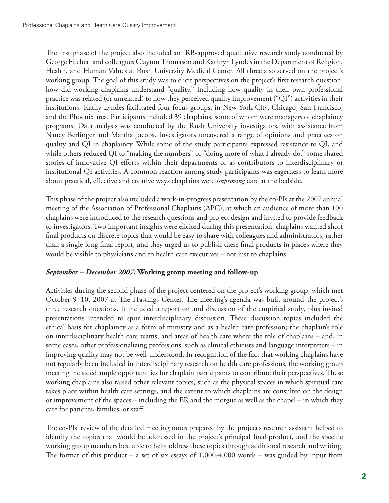The first phase of the project also included an IRB-approved qualitative research study conducted by George Fitchett and colleagues Clayton Thomason and Kathryn Lyndes in the Department of Religion, Health, and Human Values at Rush University Medical Center. All three also served on the project's working group. The goal of this study was to elicit perspectives on the project's first research question: how did working chaplains understand "quality," including how quality in their own professional practice was related (or unrelated) to how they perceived quality improvement ("QI") activities in their institutions. Kathy Lyndes facilitated four focus groups, in New York City, Chicago, San Francisco, and the Phoenix area. Participants included 39 chaplains, some of whom were managers of chaplaincy programs. Data analysis was conducted by the Rush University investigators, with assistance from Nancy Berlinger and Martha Jacobs. Investigators uncovered a range of opinions and practices on quality and QI in chaplaincy. While some of the study participants expressed resistance to QI, and while others reduced QI to "making the numbers" or "doing more of what I already do," some shared stories of innovative QI efforts within their departments or as contributors to interdisciplinary or institutional QI activities. A common reaction among study participants was eagerness to learn more about practical, effective and creative ways chaplains were *improving* care at the bedside.

This phase of the project also included a work-in-progress presentation by the co-PIs at the 2007 annual meeting of the Association of Professional Chaplains (APC), at which an audience of more than 100 chaplains were introduced to the research questions and project design and invited to provide feedback to investigators. Two important insights were elicited during this presentation: chaplains wanted short final products on discrete topics that would be easy to share with colleagues and administrators, rather than a single long final report, and they urged us to publish these final products in places where they would be visible to physicians and to health care executives – not just to chaplains.

#### *September – December 2007:* **Working group meeting and follow-up**

Activities during the second phase of the project centered on the project's working group, which met October 9–10, 2007 at The Hastings Center. The meeting's agenda was built around the project's three research questions. It included a report on and discussion of the empirical study, plus invited presentations intended to spur interdisciplinary discussion. These discussion topics included the ethical basis for chaplaincy as a form of ministry and as a health care profession; the chaplain's role on interdisciplinary health care teams; and areas of health care where the role of chaplains – and, in some cases, other professionalizing professions, such as clinical ethicists and language interpreters – in improving quality may not be well-understood. In recognition of the fact that working chaplains have not regularly been included in interdisciplinary research on health care professions, the working group meeting included ample opportunities for chaplain participants to contribute their perspectives. These working chaplains also raised other relevant topics, such as the physical spaces in which spiritual care takes place within health care settings, and the extent to which chaplains are consulted on the design or improvement of the spaces – including the ER and the morgue as well as the chapel – in which they care for patients, families, or staff.

The co-PIs' review of the detailed meeting notes prepared by the project's research assistant helped to identify the topics that would be addressed in the project's principal final product, and the specific working group members best able to help address these topics through additional research and writing. The format of this product – a set of six essays of  $1,000-4,000$  words – was guided by input from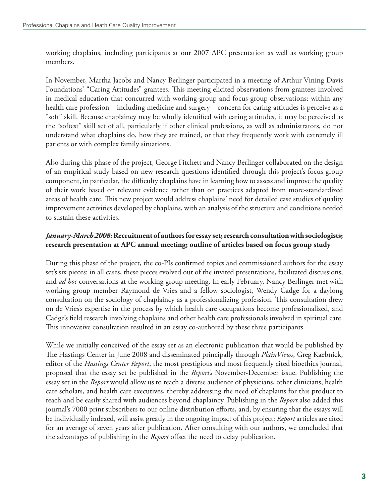working chaplains, including participants at our 2007 APC presentation as well as working group members.

In November, Martha Jacobs and Nancy Berlinger participated in a meeting of Arthur Vining Davis Foundations' "Caring Attitudes" grantees. This meeting elicited observations from grantees involved in medical education that concurred with working-group and focus-group observations: within any health care profession – including medicine and surgery – concern for caring attitudes is perceive as a "soft" skill. Because chaplaincy may be wholly identified with caring attitudes, it may be perceived as the "softest" skill set of all, particularly if other clinical professions, as well as administrators, do not understand what chaplains do, how they are trained, or that they frequently work with extremely ill patients or with complex family situations.

Also during this phase of the project, George Fitchett and Nancy Berlinger collaborated on the design of an empirical study based on new research questions identified through this project's focus group component, in particular, the difficulty chaplains have in learning how to assess and improve the quality of their work based on relevant evidence rather than on practices adapted from more-standardized areas of health care. This new project would address chaplains' need for detailed case studies of quality improvement activities developed by chaplains, with an analysis of the structure and conditions needed to sustain these activities.

#### *January-March 2008:* **Recruitment of authors for essay set; research consultation with sociologists; research presentation at APC annual meeting; outline of articles based on focus group study**

During this phase of the project, the co-PIs confirmed topics and commissioned authors for the essay set's six pieces: in all cases, these pieces evolved out of the invited presentations, facilitated discussions, and *ad hoc* conversations at the working group meeting. In early February, Nancy Berlinger met with working group member Raymond de Vries and a fellow sociologist, Wendy Cadge for a daylong consultation on the sociology of chaplaincy as a professionalizing profession. This consultation drew on de Vries's expertise in the process by which health care occupations become professionalized, and Cadge's field research involving chaplains and other health care professionals involved in spiritual care. This innovative consultation resulted in an essay co-authored by these three participants.

While we initially conceived of the essay set as an electronic publication that would be published by The Hastings Center in June 2008 and disseminated principally through *PlainViews*, Greg Kaebnick, editor of the *Hastings Center Report*, the most prestigious and most frequently cited bioethics journal, proposed that the essay set be published in the *Report's* November-December issue. Publishing the essay set in the *Report* would allow us to reach a diverse audience of physicians, other clinicians, health care scholars, and health care executives, thereby addressing the need of chaplains for this product to reach and be easily shared with audiences beyond chaplaincy. Publishing in the *Report* also added this journal's 7000 print subscribers to our online distribution efforts, and, by ensuring that the essays will be individually indexed, will assist greatly in the ongoing impact of this project: *Report* articles are cited for an average of seven years after publication. After consulting with our authors, we concluded that the advantages of publishing in the *Report* offset the need to delay publication.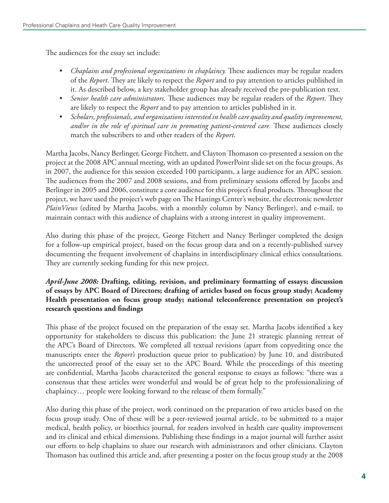The audiences for the essay set include:

- *• Chaplains and professional organizations in chaplaincy.* These audiences may be regular readers of the *Report*. They are likely to respect the *Report* and to pay attention to articles published in it. As described below, a key stakeholder group has already received the pre-publication text.
- *• Senior health care administrators.* These audiences may be regular readers of the *Report*. They are likely to respect the *Report* and to pay attention to articles published in it.
- *• Scholars, professionals, and organizations interested in health care quality and quality improvement, and/or in the role of spiritual care in promoting patient-centered care.* These audiences closely match the subscribers to and other readers of the *Report*.

Martha Jacobs, Nancy Berlinger, George Fitchett, and Clayton Thomason co-presented a session on the project at the 2008 APC annual meeting, with an updated PowerPoint slide set on the focus groups. As in 2007, the audience for this session exceeded 100 participants, a large audience for an APC session. The audiences from the 2007 and 2008 sessions, and from preliminary sessions offered by Jacobs and Berlinger in 2005 and 2006, constitute a core audience for this project's final products. Throughout the project, we have used the project's web page on The Hastings Center's website, the electronic newsletter *PlainViews* (edited by Martha Jacobs, with a monthly column by Nancy Berlinger), and e-mail, to maintain contact with this audience of chaplains with a strong interest in quality improvement.

Also during this phase of the project, George Fitchett and Nancy Berlinger completed the design for a follow-up empirical project, based on the focus group data and on a recently-published survey documenting the frequent involvement of chaplains in interdisciplinary clinical ethics consultations. They are currently seeking funding for this new project.

#### *April-June 2008:* **Drafting, editing, revision, and preliminary formatting of essays; discussion of essays by APC Board of Directors; drafting of articles based on focus group study; Academy Health presentation on focus group study; national teleconference presentation on project's research questions and findings**

This phase of the project focused on the preparation of the essay set. Martha Jacobs identified a key opportunity for stakeholders to discuss this publication: the June 21 strategic planning retreat of the APC's Board of Directors. We completed all textual revisions (apart from copyediting once the manuscripts enter the *Report's* production queue prior to publication) by June 10, and distributed the uncorrected proof of the essay set to the APC Board. While the proceedings of this meeting are confidential, Martha Jacobs characterized the general response to essays as follows: "there was a consensus that these articles were wonderful and would be of great help to the professionalizing of chaplaincy… people were looking forward to the release of them formally."

Also during this phase of the project, work continued on the preparation of two articles based on the focus group study. One of these will be a peer-reviewed journal article, to be submitted to a major medical, health policy, or bioethics journal, for readers involved in health care quality improvement and its clinical and ethical dimensions. Publishing these findings in a major journal will further assist our efforts to help chaplains to share our research with administrators and other clinicians. Clayton Thomason has outlined this article and, after presenting a poster on the focus group study at the 2008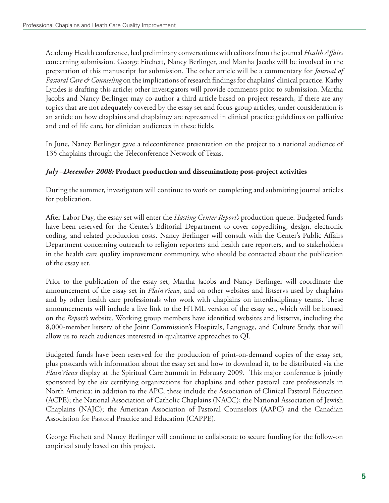Academy Health conference, had preliminary conversations with editors from the journal *Health Affairs* concerning submission. George Fitchett, Nancy Berlinger, and Martha Jacobs will be involved in the preparation of this manuscript for submission. The other article will be a commentary for *Journal of Pastoral Care & Counseling* on the implications of research findings for chaplains' clinical practice. Kathy Lyndes is drafting this article; other investigators will provide comments prior to submission. Martha Jacobs and Nancy Berlinger may co-author a third article based on project research, if there are any topics that are not adequately covered by the essay set and focus-group articles; under consideration is an article on how chaplains and chaplaincy are represented in clinical practice guidelines on palliative and end of life care, for clinician audiences in these fields.

In June, Nancy Berlinger gave a teleconference presentation on the project to a national audience of 135 chaplains through the Teleconference Network of Texas.

#### *July –December 2008:* **Product production and dissemination; post-project activities**

During the summer, investigators will continue to work on completing and submitting journal articles for publication.

After Labor Day, the essay set will enter the *Hasting Center Report's* production queue. Budgeted funds have been reserved for the Center's Editorial Department to cover copyediting, design, electronic coding, and related production costs. Nancy Berlinger will consult with the Center's Public Affairs Department concerning outreach to religion reporters and health care reporters, and to stakeholders in the health care quality improvement community, who should be contacted about the publication of the essay set.

Prior to the publication of the essay set, Martha Jacobs and Nancy Berlinger will coordinate the announcement of the essay set in *PlainViews*, and on other websites and listservs used by chaplains and by other health care professionals who work with chaplains on interdisciplinary teams. These announcements will include a live link to the HTML version of the essay set, which will be housed on the *Report's* website. Working group members have identified websites and listservs, including the 8,000-member listserv of the Joint Commission's Hospitals, Language, and Culture Study, that will allow us to reach audiences interested in qualitative approaches to QI.

Budgeted funds have been reserved for the production of print-on-demand copies of the essay set, plus postcards with information about the essay set and how to download it, to be distributed via the *PlainViews* display at the Spiritual Care Summit in February 2009. This major conference is jointly sponsored by the six certifying organizations for chaplains and other pastoral care professionals in North America: in addition to the APC, these include the Association of Clinical Pastoral Education (ACPE); the National Association of Catholic Chaplains (NACC); the National Association of Jewish Chaplains (NAJC); the American Association of Pastoral Counselors (AAPC) and the Canadian Association for Pastoral Practice and Education (CAPPE).

George Fitchett and Nancy Berlinger will continue to collaborate to secure funding for the follow-on empirical study based on this project.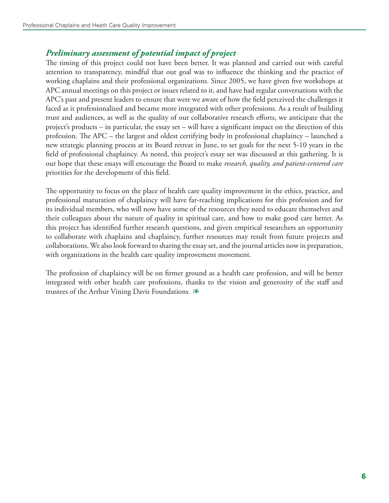## *Preliminary assessment of potential impact of project*

The timing of this project could not have been better. It was planned and carried out with careful attention to transparency, mindful that our goal was to influence the thinking and the practice of working chaplains and their professional organizations. Since 2005, we have given five workshops at APC annual meetings on this project or issues related to it, and have had regular conversations with the APC's past and present leaders to ensure that were we aware of how the field perceived the challenges it faced as it professionalized and became more integrated with other professions. As a result of building trust and audiences, as well as the quality of our collaborative research efforts, we anticipate that the project's products – in particular, the essay set – will have a significant impact on the direction of this profession. The APC – the largest and oldest certifying body in professional chaplaincy – launched a new strategic planning process at its Board retreat in June, to set goals for the next 5-10 years in the field of professional chaplaincy. As noted, this project's essay set was discussed at this gathering. It is our hope that these essays will encourage the Board to make *research, quality, and patient-centered care* priorities for the development of this field.

The opportunity to focus on the place of health care quality improvement in the ethics, practice, and professional maturation of chaplaincy will have far-reaching implications for this profession and for its individual members, who will now have some of the resources they need to educate themselves and their colleagues about the nature of quality in spiritual care, and how to make good care better. As this project has identified further research questions, and given empirical researchers an opportunity to collaborate with chaplains and chaplaincy, further resources may result from future projects and collaborations. We also look forward to sharing the essay set, and the journal articles now in preparation, with organizations in the health care quality improvement movement.

The profession of chaplaincy will be on firmer ground as a health care profession, and will be better integrated with other health care professions, thanks to the vision and generosity of the staff and trustees of the Arthur Vining Davis Foundations. *1*